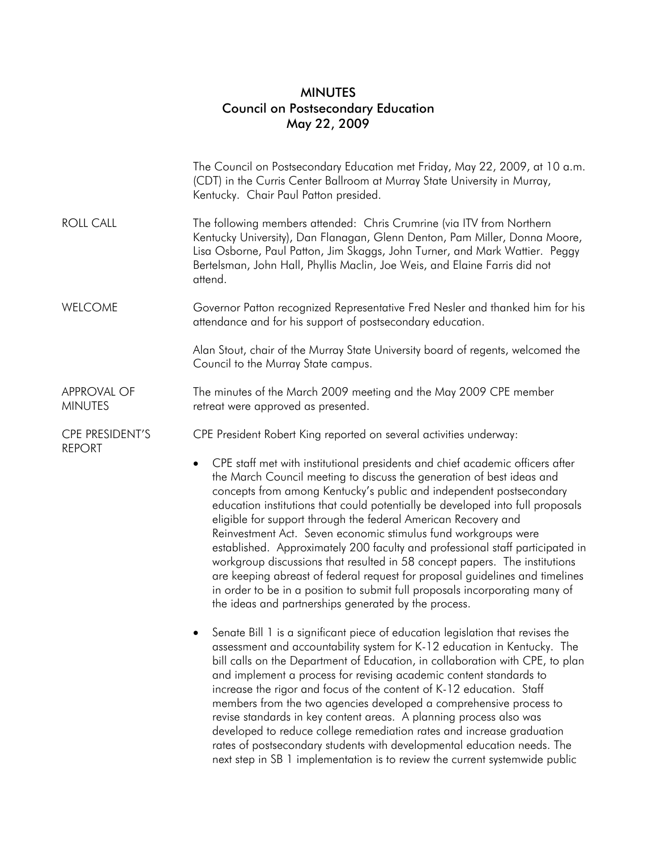## MINUTES Council on Postsecondary Education May 22, 2009

|                                      | The Council on Postsecondary Education met Friday, May 22, 2009, at 10 a.m.<br>(CDT) in the Curris Center Ballroom at Murray State University in Murray,<br>Kentucky. Chair Paul Patton presided.                                                                                                                                                                                                                                                                                                                                                                                                                                                                                                                                                                                                                                                                                                                            |
|--------------------------------------|------------------------------------------------------------------------------------------------------------------------------------------------------------------------------------------------------------------------------------------------------------------------------------------------------------------------------------------------------------------------------------------------------------------------------------------------------------------------------------------------------------------------------------------------------------------------------------------------------------------------------------------------------------------------------------------------------------------------------------------------------------------------------------------------------------------------------------------------------------------------------------------------------------------------------|
| <b>ROLL CALL</b>                     | The following members attended: Chris Crumrine (via ITV from Northern<br>Kentucky University), Dan Flanagan, Glenn Denton, Pam Miller, Donna Moore,<br>Lisa Osborne, Paul Patton, Jim Skaggs, John Turner, and Mark Wattier. Peggy<br>Bertelsman, John Hall, Phyllis Maclin, Joe Weis, and Elaine Farris did not<br>attend.                                                                                                                                                                                                                                                                                                                                                                                                                                                                                                                                                                                                  |
| <b>WELCOME</b>                       | Governor Patton recognized Representative Fred Nesler and thanked him for his<br>attendance and for his support of postsecondary education.                                                                                                                                                                                                                                                                                                                                                                                                                                                                                                                                                                                                                                                                                                                                                                                  |
|                                      | Alan Stout, chair of the Murray State University board of regents, welcomed the<br>Council to the Murray State campus.                                                                                                                                                                                                                                                                                                                                                                                                                                                                                                                                                                                                                                                                                                                                                                                                       |
| <b>APPROVAL OF</b><br><b>MINUTES</b> | The minutes of the March 2009 meeting and the May 2009 CPE member<br>retreat were approved as presented.                                                                                                                                                                                                                                                                                                                                                                                                                                                                                                                                                                                                                                                                                                                                                                                                                     |
| CPE PRESIDENT'S<br><b>REPORT</b>     | CPE President Robert King reported on several activities underway:<br>CPE staff met with institutional presidents and chief academic officers after<br>$\bullet$<br>the March Council meeting to discuss the generation of best ideas and<br>concepts from among Kentucky's public and independent postsecondary<br>education institutions that could potentially be developed into full proposals<br>eligible for support through the federal American Recovery and<br>Reinvestment Act. Seven economic stimulus fund workgroups were<br>established. Approximately 200 faculty and professional staff participated in<br>workgroup discussions that resulted in 58 concept papers. The institutions<br>are keeping abreast of federal request for proposal guidelines and timelines<br>in order to be in a position to submit full proposals incorporating many of<br>the ideas and partnerships generated by the process. |
|                                      | Senate Bill 1 is a significant piece of education legislation that revises the<br>assessment and accountability system for K-12 education in Kentucky. The<br>bill calls on the Department of Education, in collaboration with CPE, to plan<br>and implement a process for revising academic content standards to<br>increase the rigor and focus of the content of K-12 education. Staff<br>members from the two agencies developed a comprehensive process to<br>revise standards in key content areas. A planning process also was<br>developed to reduce college remediation rates and increase graduation<br>rates of postsecondary students with developmental education needs. The                                                                                                                                                                                                                                    |

next step in SB 1 implementation is to review the current systemwide public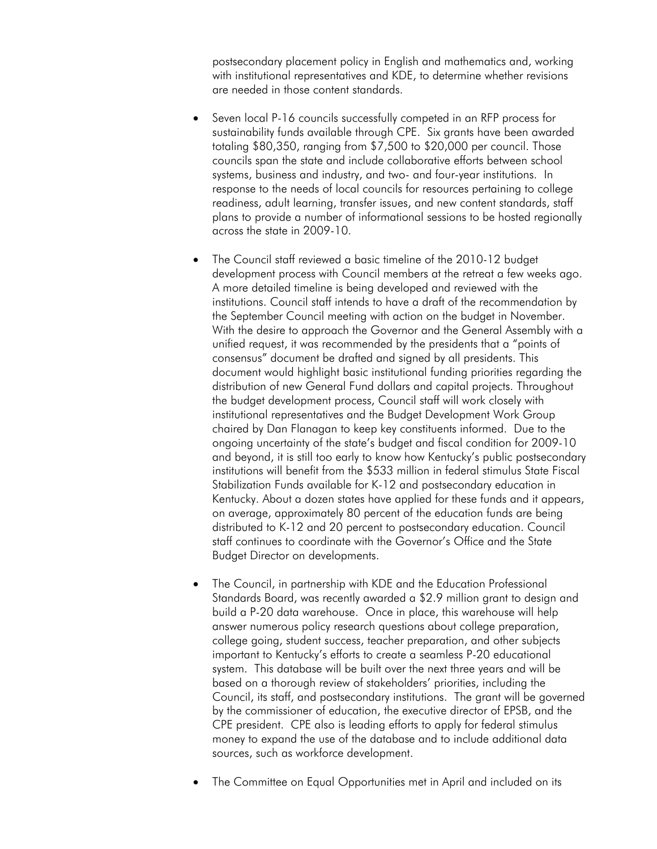postsecondary placement policy in English and mathematics and, working with institutional representatives and KDE, to determine whether revisions are needed in those content standards.

- Seven local P-16 councils successfully competed in an RFP process for sustainability funds available through CPE. Six grants have been awarded totaling \$80,350, ranging from \$7,500 to \$20,000 per council. Those councils span the state and include collaborative efforts between school systems, business and industry, and two- and four-year institutions. In response to the needs of local councils for resources pertaining to college readiness, adult learning, transfer issues, and new content standards, staff plans to provide a number of informational sessions to be hosted regionally across the state in 2009-10.
- The Council staff reviewed a basic timeline of the 2010-12 budget development process with Council members at the retreat a few weeks ago. A more detailed timeline is being developed and reviewed with the institutions. Council staff intends to have a draft of the recommendation by the September Council meeting with action on the budget in November. With the desire to approach the Governor and the General Assembly with a unified request, it was recommended by the presidents that a "points of consensus" document be drafted and signed by all presidents. This document would highlight basic institutional funding priorities regarding the distribution of new General Fund dollars and capital projects. Throughout the budget development process, Council staff will work closely with institutional representatives and the Budget Development Work Group chaired by Dan Flanagan to keep key constituents informed. Due to the ongoing uncertainty of the state's budget and fiscal condition for 2009-10 and beyond, it is still too early to know how Kentucky's public postsecondary institutions will benefit from the \$533 million in federal stimulus State Fiscal Stabilization Funds available for K-12 and postsecondary education in Kentucky. About a dozen states have applied for these funds and it appears, on average, approximately 80 percent of the education funds are being distributed to K-12 and 20 percent to postsecondary education. Council staff continues to coordinate with the Governor's Office and the State Budget Director on developments.
- The Council, in partnership with KDE and the Education Professional Standards Board, was recently awarded a \$2.9 million grant to design and build a P-20 data warehouse. Once in place, this warehouse will help answer numerous policy research questions about college preparation, college going, student success, teacher preparation, and other subjects important to Kentucky's efforts to create a seamless P-20 educational system. This database will be built over the next three years and will be based on a thorough review of stakeholders' priorities, including the Council, its staff, and postsecondary institutions. The grant will be governed by the commissioner of education, the executive director of EPSB, and the CPE president. CPE also is leading efforts to apply for federal stimulus money to expand the use of the database and to include additional data sources, such as workforce development.
- The Committee on Equal Opportunities met in April and included on its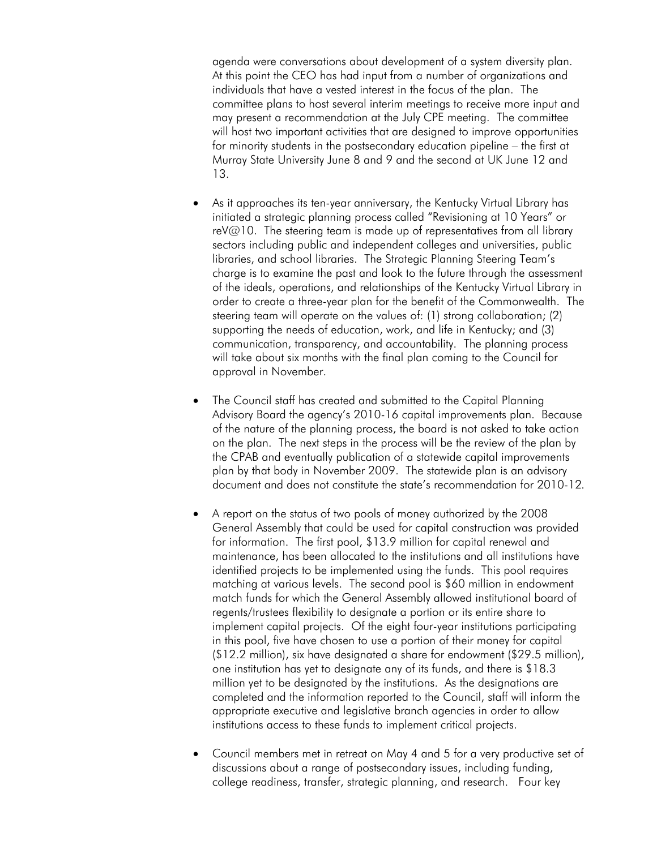agenda were conversations about development of a system diversity plan. At this point the CEO has had input from a number of organizations and individuals that have a vested interest in the focus of the plan. The committee plans to host several interim meetings to receive more input and may present a recommendation at the July CPE meeting. The committee will host two important activities that are designed to improve opportunities for minority students in the postsecondary education pipeline – the first at Murray State University June 8 and 9 and the second at UK June 12 and 13.

- As it approaches its ten-year anniversary, the Kentucky Virtual Library has initiated a strategic planning process called "Revisioning at 10 Years" or  $reV@10$ . The steering team is made up of representatives from all library sectors including public and independent colleges and universities, public libraries, and school libraries. The Strategic Planning Steering Team's charge is to examine the past and look to the future through the assessment of the ideals, operations, and relationships of the Kentucky Virtual Library in order to create a three-year plan for the benefit of the Commonwealth. The steering team will operate on the values of: (1) strong collaboration; (2) supporting the needs of education, work, and life in Kentucky; and (3) communication, transparency, and accountability. The planning process will take about six months with the final plan coming to the Council for approval in November.
- The Council staff has created and submitted to the Capital Planning Advisory Board the agency's 2010-16 capital improvements plan. Because of the nature of the planning process, the board is not asked to take action on the plan. The next steps in the process will be the review of the plan by the CPAB and eventually publication of a statewide capital improvements plan by that body in November 2009. The statewide plan is an advisory document and does not constitute the state's recommendation for 2010-12*.*
- A report on the status of two pools of money authorized by the 2008 General Assembly that could be used for capital construction was provided for information. The first pool, \$13.9 million for capital renewal and maintenance, has been allocated to the institutions and all institutions have identified projects to be implemented using the funds. This pool requires matching at various levels. The second pool is \$60 million in endowment match funds for which the General Assembly allowed institutional board of regents/trustees flexibility to designate a portion or its entire share to implement capital projects. Of the eight four-year institutions participating in this pool, five have chosen to use a portion of their money for capital (\$12.2 million), six have designated a share for endowment (\$29.5 million), one institution has yet to designate any of its funds, and there is \$18.3 million yet to be designated by the institutions. As the designations are completed and the information reported to the Council, staff will inform the appropriate executive and legislative branch agencies in order to allow institutions access to these funds to implement critical projects.
- Council members met in retreat on May 4 and 5 for a very productive set of discussions about a range of postsecondary issues, including funding, college readiness, transfer, strategic planning, and research. Four key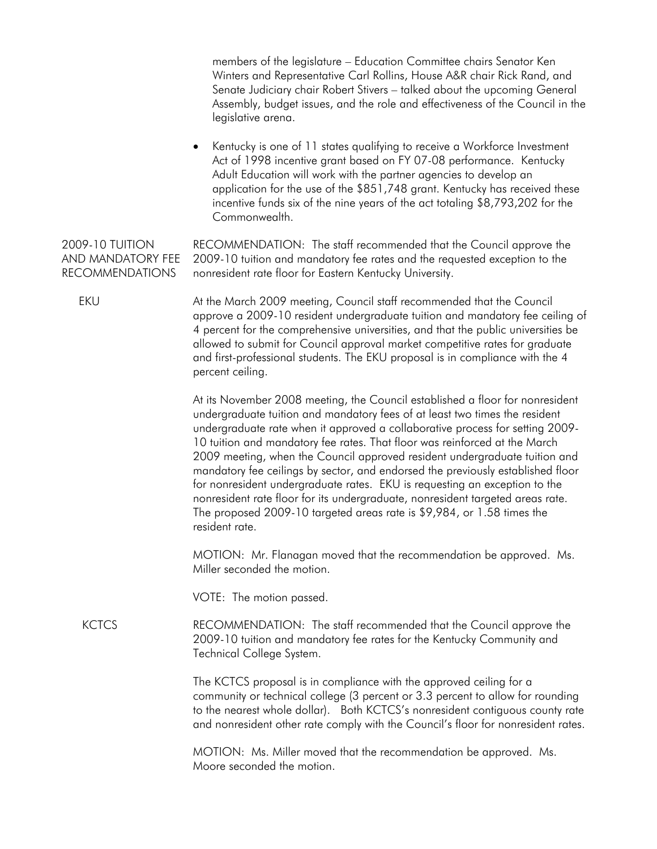members of the legislature – Education Committee chairs Senator Ken Winters and Representative Carl Rollins, House A&R chair Rick Rand, and Senate Judiciary chair Robert Stivers – talked about the upcoming General Assembly, budget issues, and the role and effectiveness of the Council in the legislative arena.

• Kentucky is one of 11 states qualifying to receive a Workforce Investment Act of 1998 incentive grant based on FY 07-08 performance. Kentucky Adult Education will work with the partner agencies to develop an application for the use of the \$851,748 grant. Kentucky has received these incentive funds six of the nine years of the act totaling \$8,793,202 for the Commonwealth.

2009-10 TUITION AND MANDATORY FEE RECOMMENDATIONS RECOMMENDATION: The staff recommended that the Council approve the 2009-10 tuition and mandatory fee rates and the requested exception to the nonresident rate floor for Eastern Kentucky University.

 EKU At the March 2009 meeting, Council staff recommended that the Council approve a 2009-10 resident undergraduate tuition and mandatory fee ceiling of 4 percent for the comprehensive universities, and that the public universities be allowed to submit for Council approval market competitive rates for graduate and first-professional students. The EKU proposal is in compliance with the 4 percent ceiling.

> At its November 2008 meeting, the Council established a floor for nonresident undergraduate tuition and mandatory fees of at least two times the resident undergraduate rate when it approved a collaborative process for setting 2009- 10 tuition and mandatory fee rates. That floor was reinforced at the March 2009 meeting, when the Council approved resident undergraduate tuition and mandatory fee ceilings by sector, and endorsed the previously established floor for nonresident undergraduate rates. EKU is requesting an exception to the nonresident rate floor for its undergraduate, nonresident targeted areas rate. The proposed 2009-10 targeted areas rate is \$9,984, or 1.58 times the resident rate.

 MOTION: Mr. Flanagan moved that the recommendation be approved. Ms. Miller seconded the motion.

VOTE: The motion passed.

 KCTCS RECOMMENDATION: The staff recommended that the Council approve the 2009-10 tuition and mandatory fee rates for the Kentucky Community and Technical College System.

> The KCTCS proposal is in compliance with the approved ceiling for a community or technical college (3 percent or 3.3 percent to allow for rounding to the nearest whole dollar). Both KCTCS's nonresident contiguous county rate and nonresident other rate comply with the Council's floor for nonresident rates.

 MOTION: Ms. Miller moved that the recommendation be approved. Ms. Moore seconded the motion.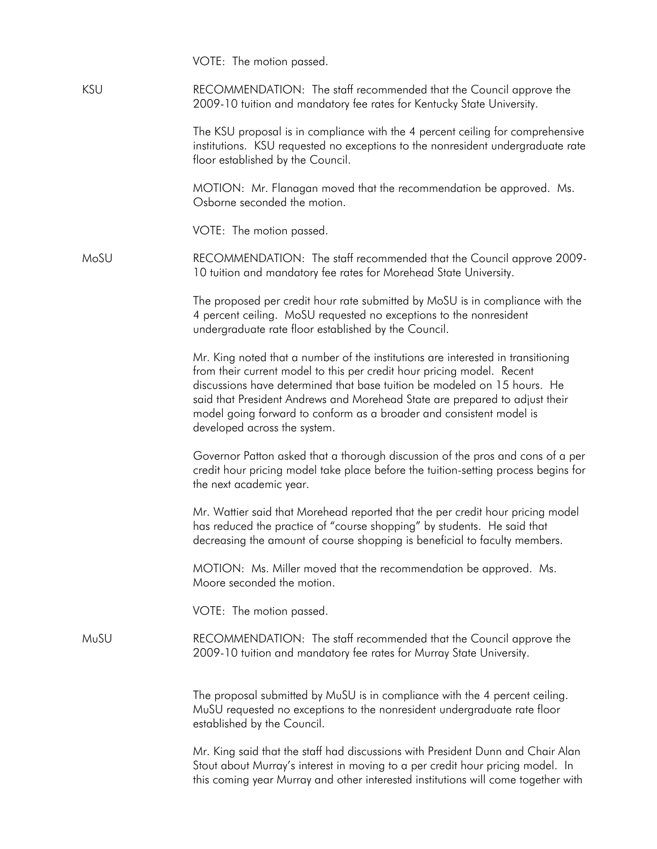|            | VOTE: The motion passed.                                                                                                                                                                                                                                                                                                                                                                                                     |
|------------|------------------------------------------------------------------------------------------------------------------------------------------------------------------------------------------------------------------------------------------------------------------------------------------------------------------------------------------------------------------------------------------------------------------------------|
| <b>KSU</b> | RECOMMENDATION: The staff recommended that the Council approve the<br>2009-10 tuition and mandatory fee rates for Kentucky State University.                                                                                                                                                                                                                                                                                 |
|            | The KSU proposal is in compliance with the 4 percent ceiling for comprehensive<br>institutions. KSU requested no exceptions to the nonresident undergraduate rate<br>floor established by the Council.                                                                                                                                                                                                                       |
|            | MOTION: Mr. Flanagan moved that the recommendation be approved. Ms.<br>Osborne seconded the motion.                                                                                                                                                                                                                                                                                                                          |
|            | VOTE: The motion passed.                                                                                                                                                                                                                                                                                                                                                                                                     |
| MoSU       | RECOMMENDATION: The staff recommended that the Council approve 2009-<br>10 tuition and mandatory fee rates for Morehead State University.                                                                                                                                                                                                                                                                                    |
|            | The proposed per credit hour rate submitted by MoSU is in compliance with the<br>4 percent ceiling. MoSU requested no exceptions to the nonresident<br>undergraduate rate floor established by the Council.                                                                                                                                                                                                                  |
|            | Mr. King noted that a number of the institutions are interested in transitioning<br>from their current model to this per credit hour pricing model. Recent<br>discussions have determined that base tuition be modeled on 15 hours. He<br>said that President Andrews and Morehead State are prepared to adjust their<br>model going forward to conform as a broader and consistent model is<br>developed across the system. |
|            | Governor Patton asked that a thorough discussion of the pros and cons of a per<br>credit hour pricing model take place before the tuition-setting process begins for<br>the next academic year.                                                                                                                                                                                                                              |
|            | Mr. Wattier said that Morehead reported that the per credit hour pricing model<br>has reduced the practice of "course shopping" by students. He said that<br>decreasing the amount of course shopping is beneficial to faculty members.                                                                                                                                                                                      |
|            | MOTION: Ms. Miller moved that the recommendation be approved. Ms.<br>Moore seconded the motion.                                                                                                                                                                                                                                                                                                                              |
|            | VOTE: The motion passed.                                                                                                                                                                                                                                                                                                                                                                                                     |
| MuSU       | RECOMMENDATION: The staff recommended that the Council approve the<br>2009-10 tuition and mandatory fee rates for Murray State University.                                                                                                                                                                                                                                                                                   |
|            | The proposal submitted by MuSU is in compliance with the 4 percent ceiling.<br>MuSU requested no exceptions to the nonresident undergraduate rate floor<br>established by the Council.                                                                                                                                                                                                                                       |
|            | Mr. King said that the staff had discussions with President Dunn and Chair Alan<br>Stout about Murray's interest in moving to a per credit hour pricing model. In<br>this coming year Murray and other interested institutions will come together with                                                                                                                                                                       |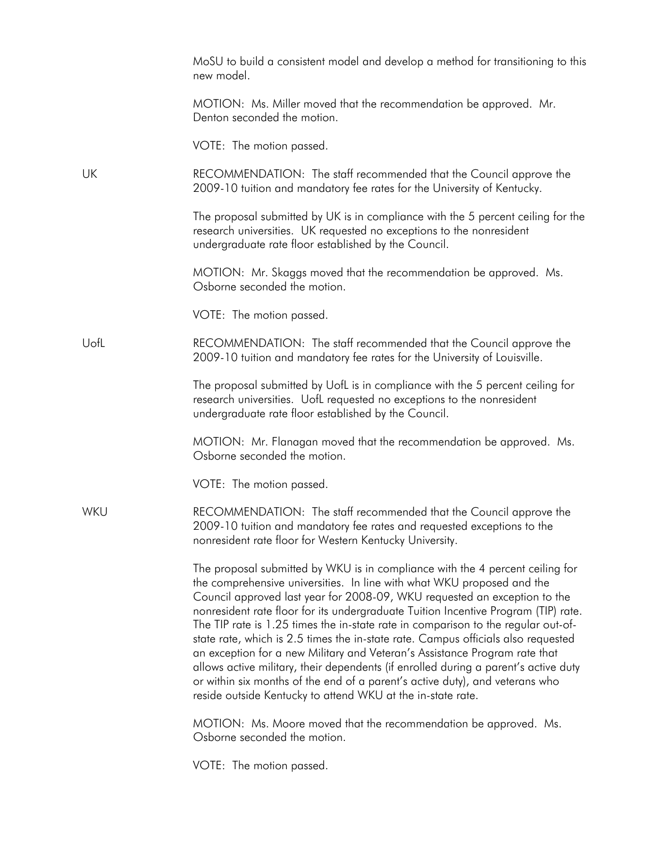|      | MoSU to build a consistent model and develop a method for transitioning to this<br>new model.                                                                                                                                                                                                                                                                                                                                                                                                                                                                                                                                                                                                                                                                                                                            |
|------|--------------------------------------------------------------------------------------------------------------------------------------------------------------------------------------------------------------------------------------------------------------------------------------------------------------------------------------------------------------------------------------------------------------------------------------------------------------------------------------------------------------------------------------------------------------------------------------------------------------------------------------------------------------------------------------------------------------------------------------------------------------------------------------------------------------------------|
|      | MOTION: Ms. Miller moved that the recommendation be approved. Mr.<br>Denton seconded the motion.                                                                                                                                                                                                                                                                                                                                                                                                                                                                                                                                                                                                                                                                                                                         |
|      | VOTE: The motion passed.                                                                                                                                                                                                                                                                                                                                                                                                                                                                                                                                                                                                                                                                                                                                                                                                 |
| UK   | RECOMMENDATION: The staff recommended that the Council approve the<br>2009-10 tuition and mandatory fee rates for the University of Kentucky.                                                                                                                                                                                                                                                                                                                                                                                                                                                                                                                                                                                                                                                                            |
|      | The proposal submitted by UK is in compliance with the 5 percent ceiling for the<br>research universities. UK requested no exceptions to the nonresident<br>undergraduate rate floor established by the Council.                                                                                                                                                                                                                                                                                                                                                                                                                                                                                                                                                                                                         |
|      | MOTION: Mr. Skaggs moved that the recommendation be approved. Ms.<br>Osborne seconded the motion.                                                                                                                                                                                                                                                                                                                                                                                                                                                                                                                                                                                                                                                                                                                        |
|      | VOTE: The motion passed.                                                                                                                                                                                                                                                                                                                                                                                                                                                                                                                                                                                                                                                                                                                                                                                                 |
| UofL | RECOMMENDATION: The staff recommended that the Council approve the<br>2009-10 tuition and mandatory fee rates for the University of Louisville.                                                                                                                                                                                                                                                                                                                                                                                                                                                                                                                                                                                                                                                                          |
|      | The proposal submitted by UofL is in compliance with the 5 percent ceiling for<br>research universities. UofL requested no exceptions to the nonresident<br>undergraduate rate floor established by the Council.                                                                                                                                                                                                                                                                                                                                                                                                                                                                                                                                                                                                         |
|      | MOTION: Mr. Flanagan moved that the recommendation be approved. Ms.<br>Osborne seconded the motion.                                                                                                                                                                                                                                                                                                                                                                                                                                                                                                                                                                                                                                                                                                                      |
|      | VOTE: The motion passed.                                                                                                                                                                                                                                                                                                                                                                                                                                                                                                                                                                                                                                                                                                                                                                                                 |
| WKU  | RECOMMENDATION: The staff recommended that the Council approve the<br>2009-10 tuition and mandatory fee rates and requested exceptions to the<br>nonresident rate floor for Western Kentucky University.                                                                                                                                                                                                                                                                                                                                                                                                                                                                                                                                                                                                                 |
|      | The proposal submitted by WKU is in compliance with the 4 percent ceiling for<br>the comprehensive universities. In line with what WKU proposed and the<br>Council approved last year for 2008-09, WKU requested an exception to the<br>nonresident rate floor for its undergraduate Tuition Incentive Program (TIP) rate.<br>The TIP rate is 1.25 times the in-state rate in comparison to the regular out-of-<br>state rate, which is 2.5 times the in-state rate. Campus officials also requested<br>an exception for a new Military and Veteran's Assistance Program rate that<br>allows active military, their dependents (if enrolled during a parent's active duty<br>or within six months of the end of a parent's active duty), and veterans who<br>reside outside Kentucky to attend WKU at the in-state rate. |
|      | MOTION: Ms. Moore moved that the recommendation be approved. Ms.<br>Osborne seconded the motion.                                                                                                                                                                                                                                                                                                                                                                                                                                                                                                                                                                                                                                                                                                                         |
|      | VOTE: The motion passed.                                                                                                                                                                                                                                                                                                                                                                                                                                                                                                                                                                                                                                                                                                                                                                                                 |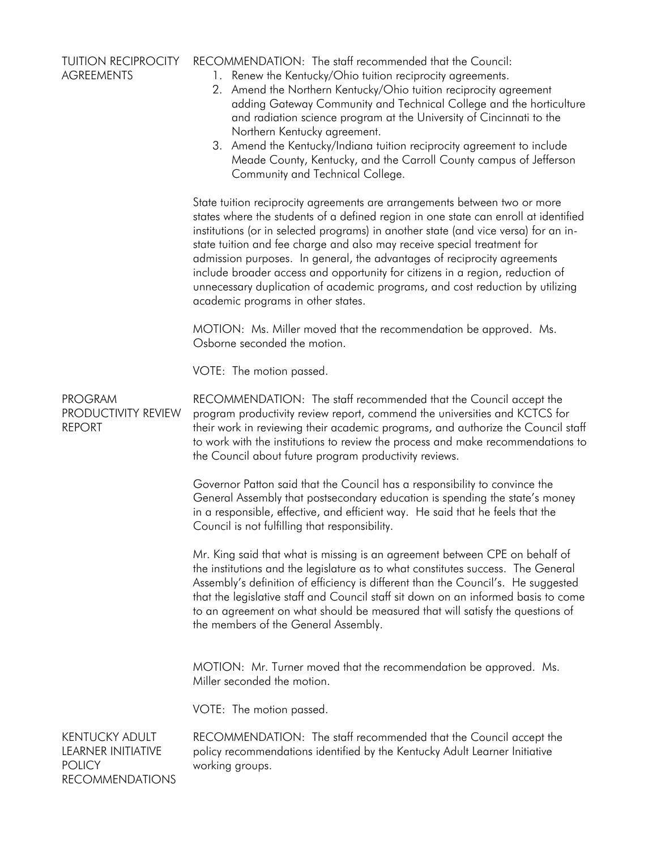| <b>TUITION RECIPROCITY</b><br><b>AGREEMENTS</b>                                 | RECOMMENDATION: The staff recommended that the Council:<br>1. Renew the Kentucky/Ohio tuition reciprocity agreements.<br>2. Amend the Northern Kentucky/Ohio tuition reciprocity agreement<br>adding Gateway Community and Technical College and the horticulture<br>and radiation science program at the University of Cincinnati to the<br>Northern Kentucky agreement.<br>3. Amend the Kentucky/Indiana tuition reciprocity agreement to include<br>Meade County, Kentucky, and the Carroll County campus of Jefferson<br>Community and Technical College.                                                          |
|---------------------------------------------------------------------------------|------------------------------------------------------------------------------------------------------------------------------------------------------------------------------------------------------------------------------------------------------------------------------------------------------------------------------------------------------------------------------------------------------------------------------------------------------------------------------------------------------------------------------------------------------------------------------------------------------------------------|
|                                                                                 | State tuition reciprocity agreements are arrangements between two or more<br>states where the students of a defined region in one state can enroll at identified<br>institutions (or in selected programs) in another state (and vice versa) for an in-<br>state tuition and fee charge and also may receive special treatment for<br>admission purposes. In general, the advantages of reciprocity agreements<br>include broader access and opportunity for citizens in a region, reduction of<br>unnecessary duplication of academic programs, and cost reduction by utilizing<br>academic programs in other states. |
|                                                                                 | MOTION: Ms. Miller moved that the recommendation be approved. Ms.<br>Osborne seconded the motion.                                                                                                                                                                                                                                                                                                                                                                                                                                                                                                                      |
|                                                                                 | VOTE: The motion passed.                                                                                                                                                                                                                                                                                                                                                                                                                                                                                                                                                                                               |
| <b>PROGRAM</b><br>PRODUCTIVITY REVIEW<br><b>REPORT</b>                          | RECOMMENDATION: The staff recommended that the Council accept the<br>program productivity review report, commend the universities and KCTCS for<br>their work in reviewing their academic programs, and authorize the Council staff<br>to work with the institutions to review the process and make recommendations to<br>the Council about future program productivity reviews.                                                                                                                                                                                                                                       |
|                                                                                 | Governor Patton said that the Council has a responsibility to convince the<br>General Assembly that postsecondary education is spending the state's money<br>in a responsible, effective, and efficient way. He said that he feels that the<br>Council is not fulfilling that responsibility.                                                                                                                                                                                                                                                                                                                          |
|                                                                                 | Mr. King said that what is missing is an agreement between CPE on behalf of<br>the institutions and the legislature as to what constitutes success. The General<br>Assembly's definition of efficiency is different than the Council's. He suggested<br>that the legislative staff and Council staff sit down on an informed basis to come<br>to an agreement on what should be measured that will satisfy the questions of<br>the members of the General Assembly.                                                                                                                                                    |
|                                                                                 | MOTION: Mr. Turner moved that the recommendation be approved. Ms.<br>Miller seconded the motion.                                                                                                                                                                                                                                                                                                                                                                                                                                                                                                                       |
|                                                                                 | VOTE: The motion passed.                                                                                                                                                                                                                                                                                                                                                                                                                                                                                                                                                                                               |
| KENTUCKY ADULT<br>LEARNER INITIATIVE<br><b>POLICY</b><br><b>RECOMMENDATIONS</b> | RECOMMENDATION: The staff recommended that the Council accept the<br>policy recommendations identified by the Kentucky Adult Learner Initiative<br>working groups.                                                                                                                                                                                                                                                                                                                                                                                                                                                     |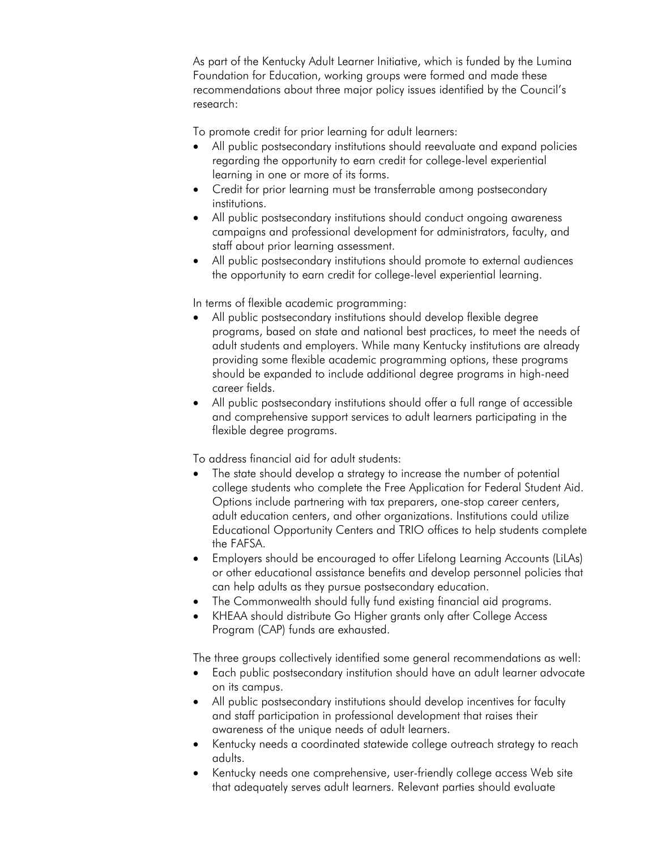As part of the Kentucky Adult Learner Initiative, which is funded by the Lumina Foundation for Education, working groups were formed and made these recommendations about three major policy issues identified by the Council's research:

To promote credit for prior learning for adult learners:

- All public postsecondary institutions should reevaluate and expand policies regarding the opportunity to earn credit for college-level experiential learning in one or more of its forms.
- Credit for prior learning must be transferrable among postsecondary institutions.
- All public postsecondary institutions should conduct ongoing awareness campaigns and professional development for administrators, faculty, and staff about prior learning assessment.
- All public postsecondary institutions should promote to external audiences the opportunity to earn credit for college-level experiential learning.

In terms of flexible academic programming:

- All public postsecondary institutions should develop flexible degree programs, based on state and national best practices, to meet the needs of adult students and employers. While many Kentucky institutions are already providing some flexible academic programming options, these programs should be expanded to include additional degree programs in high-need career fields.
- All public postsecondary institutions should offer a full range of accessible and comprehensive support services to adult learners participating in the flexible degree programs.

To address financial aid for adult students:

- The state should develop a strategy to increase the number of potential college students who complete the Free Application for Federal Student Aid. Options include partnering with tax preparers, one-stop career centers, adult education centers, and other organizations. Institutions could utilize Educational Opportunity Centers and TRIO offices to help students complete the FAFSA.
- Employers should be encouraged to offer Lifelong Learning Accounts (LiLAs) or other educational assistance benefits and develop personnel policies that can help adults as they pursue postsecondary education.
- The Commonwealth should fully fund existing financial aid programs.
- KHEAA should distribute Go Higher grants only after College Access Program (CAP) funds are exhausted.

The three groups collectively identified some general recommendations as well:

- Each public postsecondary institution should have an adult learner advocate on its campus.
- All public postsecondary institutions should develop incentives for faculty and staff participation in professional development that raises their awareness of the unique needs of adult learners.
- Kentucky needs a coordinated statewide college outreach strategy to reach adults.
- Kentucky needs one comprehensive, user-friendly college access Web site that adequately serves adult learners. Relevant parties should evaluate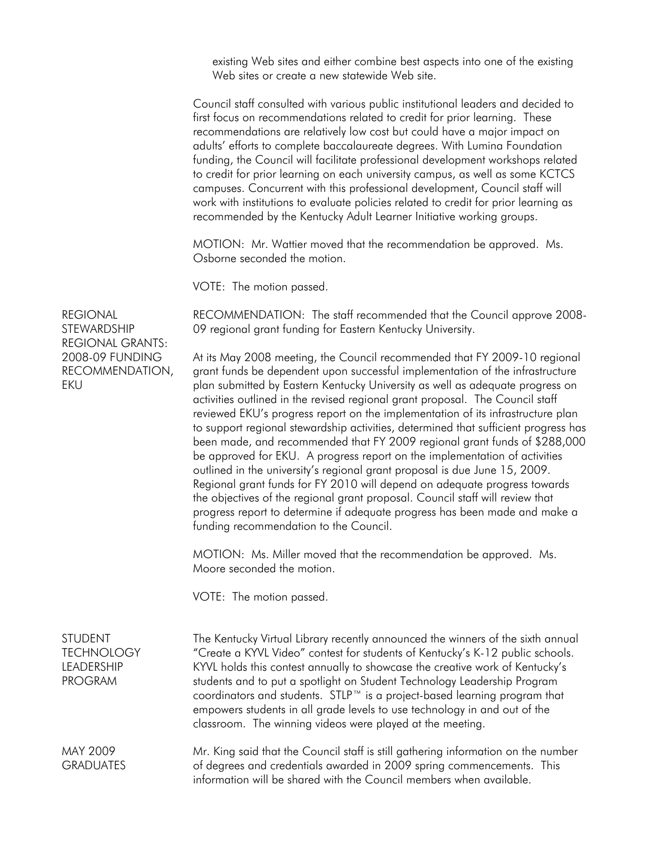existing Web sites and either combine best aspects into one of the existing Web sites or create a new statewide Web site.

 Council staff consulted with various public institutional leaders and decided to first focus on recommendations related to credit for prior learning. These recommendations are relatively low cost but could have a major impact on adults' efforts to complete baccalaureate degrees. With Lumina Foundation funding, the Council will facilitate professional development workshops related to credit for prior learning on each university campus, as well as some KCTCS campuses. Concurrent with this professional development, Council staff will work with institutions to evaluate policies related to credit for prior learning as recommended by the Kentucky Adult Learner Initiative working groups.

 MOTION: Mr. Wattier moved that the recommendation be approved. Ms. Osborne seconded the motion.

VOTE: The motion passed.

RECOMMENDATION: The staff recommended that the Council approve 2008- 09 regional grant funding for Eastern Kentucky University.

REGIONAL **STEWARDSHIP** REGIONAL GRANTS: 2008-09 FUNDING RECOMMENDATION, EKU

At its May 2008 meeting, the Council recommended that FY 2009-10 regional grant funds be dependent upon successful implementation of the infrastructure plan submitted by Eastern Kentucky University as well as adequate progress on activities outlined in the revised regional grant proposal. The Council staff reviewed EKU's progress report on the implementation of its infrastructure plan to support regional stewardship activities, determined that sufficient progress has been made, and recommended that FY 2009 regional grant funds of \$288,000 be approved for EKU. A progress report on the implementation of activities outlined in the university's regional grant proposal is due June 15, 2009. Regional grant funds for FY 2010 will depend on adequate progress towards the objectives of the regional grant proposal. Council staff will review that progress report to determine if adequate progress has been made and make a funding recommendation to the Council.

 MOTION: Ms. Miller moved that the recommendation be approved. Ms. Moore seconded the motion.

VOTE: The motion passed.

**STUDENT TECHNOLOGY** LEADERSHIP PROGRAM The Kentucky Virtual Library recently announced the winners of the sixth annual "Create a KYVL Video" contest for students of Kentucky's K-12 public schools. KYVL holds this contest annually to showcase the creative work of Kentucky's students and to put a spotlight on Student Technology Leadership Program coordinators and students. STLP™ is a project-based learning program that empowers students in all grade levels to use technology in and out of the classroom. The winning videos were played at the meeting.

MAY 2009 **GRADUATES** Mr. King said that the Council staff is still gathering information on the number of degrees and credentials awarded in 2009 spring commencements. This information will be shared with the Council members when available.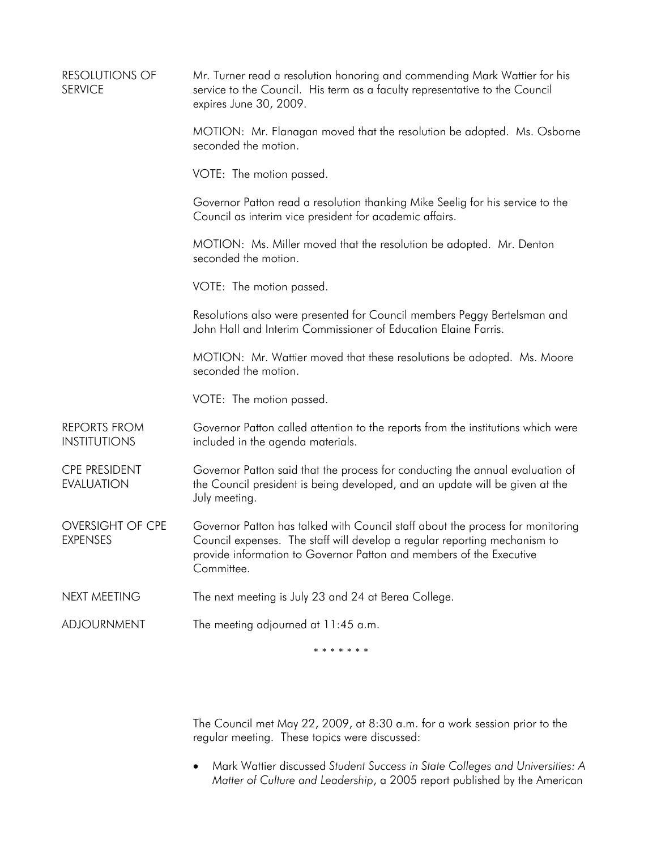| <b>RESOLUTIONS OF</b><br><b>SERVICE</b>    | Mr. Turner read a resolution honoring and commending Mark Wattier for his<br>service to the Council. His term as a faculty representative to the Council<br>expires June 30, 2009.                                                               |
|--------------------------------------------|--------------------------------------------------------------------------------------------------------------------------------------------------------------------------------------------------------------------------------------------------|
|                                            | MOTION: Mr. Flanagan moved that the resolution be adopted. Ms. Osborne<br>seconded the motion.                                                                                                                                                   |
|                                            | VOTE: The motion passed.                                                                                                                                                                                                                         |
|                                            | Governor Patton read a resolution thanking Mike Seelig for his service to the<br>Council as interim vice president for academic affairs.                                                                                                         |
|                                            | MOTION: Ms. Miller moved that the resolution be adopted. Mr. Denton<br>seconded the motion.                                                                                                                                                      |
|                                            | VOTE: The motion passed.                                                                                                                                                                                                                         |
|                                            | Resolutions also were presented for Council members Peggy Bertelsman and<br>John Hall and Interim Commissioner of Education Elaine Farris.                                                                                                       |
|                                            | MOTION: Mr. Wattier moved that these resolutions be adopted. Ms. Moore<br>seconded the motion.                                                                                                                                                   |
|                                            | VOTE: The motion passed.                                                                                                                                                                                                                         |
| <b>REPORTS FROM</b><br><b>INSTITUTIONS</b> | Governor Patton called attention to the reports from the institutions which were<br>included in the agenda materials.                                                                                                                            |
| <b>CPE PRESIDENT</b><br><b>EVALUATION</b>  | Governor Patton said that the process for conducting the annual evaluation of<br>the Council president is being developed, and an update will be given at the<br>July meeting.                                                                   |
| <b>OVERSIGHT OF CPE</b><br><b>EXPENSES</b> | Governor Patton has talked with Council staff about the process for monitoring<br>Council expenses. The staff will develop a regular reporting mechanism to<br>provide information to Governor Patton and members of the Executive<br>Committee. |
| <b>NEXT MEETING</b>                        | The next meeting is July 23 and 24 at Berea College.                                                                                                                                                                                             |
| <b>ADJOURNMENT</b>                         | The meeting adjourned at 11:45 a.m.                                                                                                                                                                                                              |
|                                            | * * * * * * *                                                                                                                                                                                                                                    |

 The Council met May 22, 2009, at 8:30 a.m. for a work session prior to the regular meeting. These topics were discussed:

• Mark Wattier discussed *Student Success in State Colleges and Universities: A Matter of Culture and Leadership*, a 2005 report published by the American